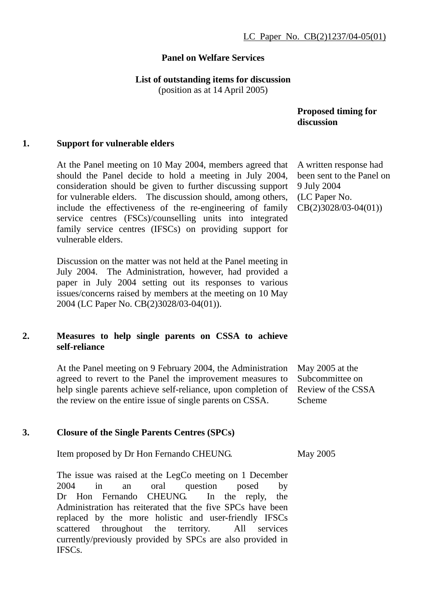### **Panel on Welfare Services**

#### **List of outstanding items for discussion**

(position as at 14 April 2005)

 **Proposed timing for discussion** 

#### **1. Support for vulnerable elders**

At the Panel meeting on 10 May 2004, members agreed that should the Panel decide to hold a meeting in July 2004, consideration should be given to further discussing support for vulnerable elders. The discussion should, among others, include the effectiveness of the re-engineering of family service centres (FSCs)/counselling units into integrated family service centres (IFSCs) on providing support for vulnerable elders.

Discussion on the matter was not held at the Panel meeting in July 2004. The Administration, however, had provided a paper in July 2004 setting out its responses to various issues/concerns raised by members at the meeting on 10 May 2004 (LC Paper No. CB(2)3028/03-04(01)).

### **2. Measures to help single parents on CSSA to achieve self-reliance**

At the Panel meeting on 9 February 2004, the Administration agreed to revert to the Panel the improvement measures to help single parents achieve self-reliance, upon completion of the review on the entire issue of single parents on CSSA.

# May 2005 at the Subcommittee on Review of the CSSA Scheme

#### **3. Closure of the Single Parents Centres (SPCs)**

Item proposed by Dr Hon Fernando CHEUNG.

The issue was raised at the LegCo meeting on 1 December 2004 in an oral question posed by Dr Hon Fernando CHEUNG. In the reply, the Administration has reiterated that the five SPCs have been replaced by the more holistic and user-friendly IFSCs scattered throughout the territory. All services currently/previously provided by SPCs are also provided in IFSCs.

A written response had been sent to the Panel on 9 July 2004 (LC Paper No. CB(2)3028/03-04(01))

May 2005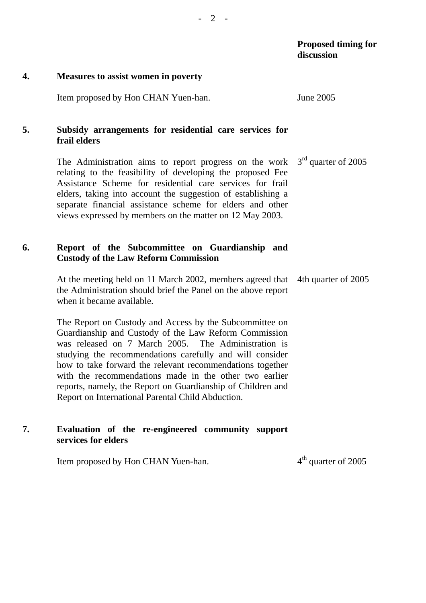## **Proposed timing for discussion**

#### **4. Measures to assist women in poverty**

Item proposed by Hon CHAN Yuen-han. June 2005

# **5. Subsidy arrangements for residential care services for frail elders**

The Administration aims to report progress on the work relating to the feasibility of developing the proposed Fee Assistance Scheme for residential care services for frail elders, taking into account the suggestion of establishing a separate financial assistance scheme for elders and other views expressed by members on the matter on 12 May 2003. 3<sup>rd</sup> quarter of 2005

# **6. Report of the Subcommittee on Guardianship and Custody of the Law Reform Commission**

At the meeting held on 11 March 2002, members agreed that the Administration should brief the Panel on the above report when it became available. 4th quarter of 2005

The Report on Custody and Access by the Subcommittee on Guardianship and Custody of the Law Reform Commission was released on 7 March 2005. The Administration is studying the recommendations carefully and will consider how to take forward the relevant recommendations together with the recommendations made in the other two earlier reports, namely, the Report on Guardianship of Children and Report on International Parental Child Abduction.

# **7. Evaluation of the re-engineered community support services for elders**

Item proposed by Hon CHAN Yuen-han.  $4<sup>th</sup>$  quarter of 2005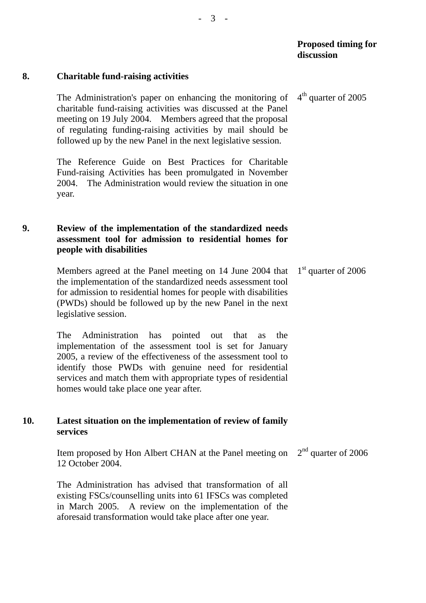#### **8. Charitable fund-raising activities**

The Administration's paper on enhancing the monitoring of charitable fund-raising activities was discussed at the Panel meeting on 19 July 2004. Members agreed that the proposal of regulating funding-raising activities by mail should be followed up by the new Panel in the next legislative session.  $4<sup>th</sup>$  quarter of 2005

The Reference Guide on Best Practices for Charitable Fund-raising Activities has been promulgated in November 2004. The Administration would review the situation in one year.

## **9. Review of the implementation of the standardized needs assessment tool for admission to residential homes for people with disabilities**

Members agreed at the Panel meeting on 14 June 2004 that the implementation of the standardized needs assessment tool for admission to residential homes for people with disabilities (PWDs) should be followed up by the new Panel in the next legislative session. 1<sup>st</sup> quarter of 2006

The Administration has pointed out that as the implementation of the assessment tool is set for January 2005, a review of the effectiveness of the assessment tool to identify those PWDs with genuine need for residential services and match them with appropriate types of residential homes would take place one year after.

## **10. Latest situation on the implementation of review of family services**

Item proposed by Hon Albert CHAN at the Panel meeting on 12 October 2004. 2<sup>nd</sup> quarter of 2006

The Administration has advised that transformation of all existing FSCs/counselling units into 61 IFSCs was completed in March 2005. A review on the implementation of the aforesaid transformation would take place after one year.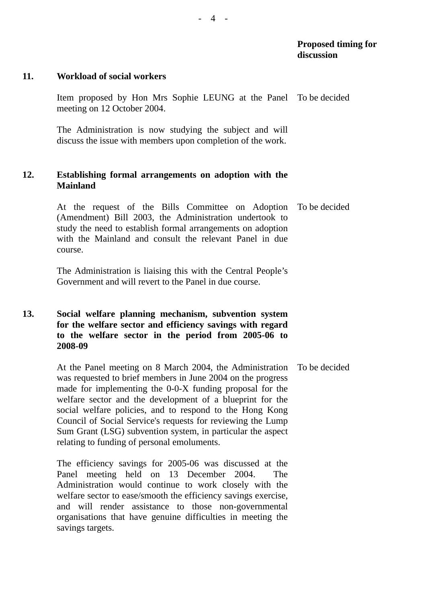## **Proposed timing for discussion**

#### **11. Workload of social workers**

Item proposed by Hon Mrs Sophie LEUNG at the Panel To be decided meeting on 12 October 2004.

The Administration is now studying the subject and will discuss the issue with members upon completion of the work.

### **12. Establishing formal arrangements on adoption with the Mainland**

At the request of the Bills Committee on Adoption (Amendment) Bill 2003, the Administration undertook to study the need to establish formal arrangements on adoption with the Mainland and consult the relevant Panel in due course. To be decided

The Administration is liaising this with the Central People's Government and will revert to the Panel in due course.

# **13. Social welfare planning mechanism, subvention system for the welfare sector and efficiency savings with regard to the welfare sector in the period from 2005-06 to 2008-09**

At the Panel meeting on 8 March 2004, the Administration was requested to brief members in June 2004 on the progress made for implementing the 0-0-X funding proposal for the welfare sector and the development of a blueprint for the social welfare policies, and to respond to the Hong Kong Council of Social Service's requests for reviewing the Lump Sum Grant (LSG) subvention system, in particular the aspect relating to funding of personal emoluments. To be decided

The efficiency savings for 2005-06 was discussed at the Panel meeting held on 13 December 2004. The Administration would continue to work closely with the welfare sector to ease/smooth the efficiency savings exercise, and will render assistance to those non-governmental organisations that have genuine difficulties in meeting the savings targets.